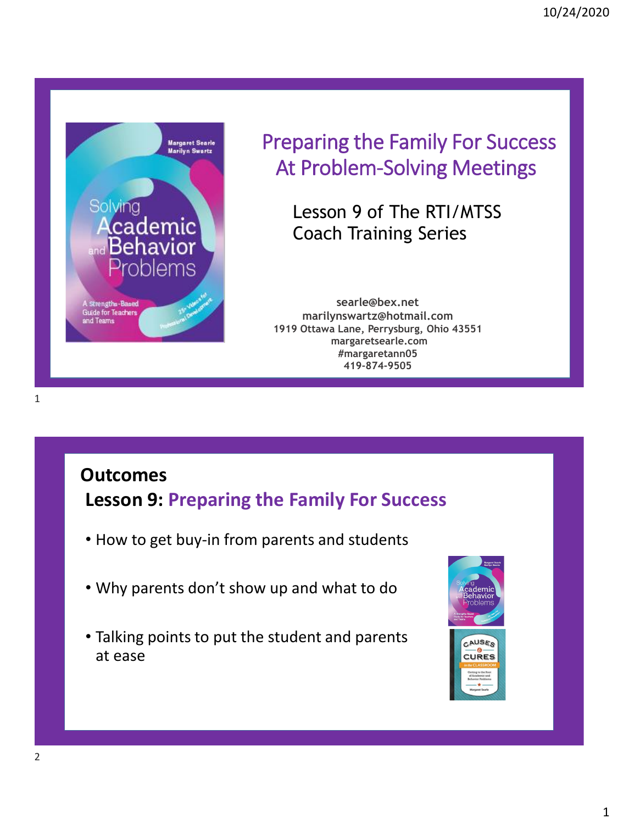

# Preparing the Family For Success At Problem-Solving Meetings

Lesson 9 of The RTI/MTSS Coach Training Series

**searle@bex.net marilynswartz@hotmail.com 1919 Ottawa Lane, Perrysburg, Ohio 43551 margaretsearle.com #margaretann05 419-874-9505**

# **Outcomes**

**Lesson 9: Preparing the Family For Success**

- How to get buy-in from parents and students
- Why parents don't show up and what to do
- Talking points to put the student and parents at ease

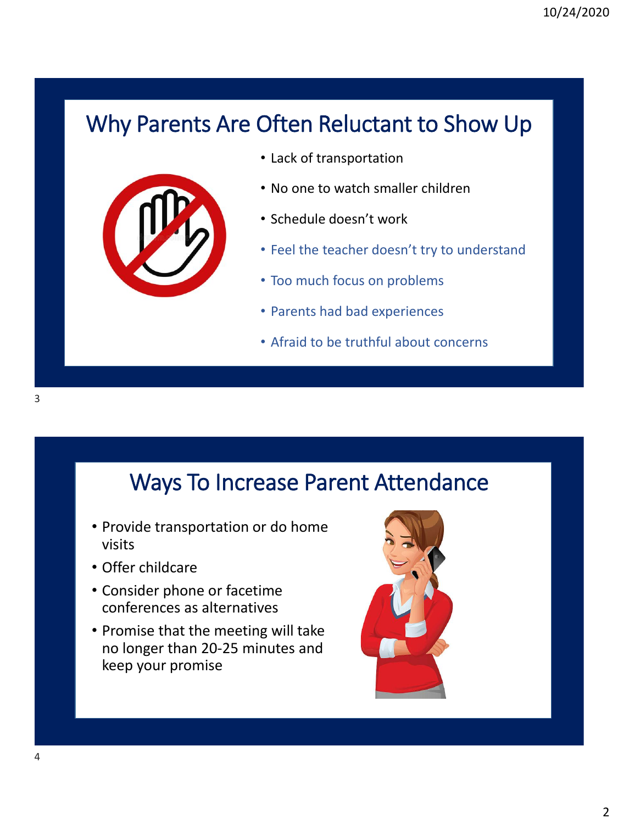# Why Parents Are Often Reluctant to Show Up



- Lack of transportation
- No one to watch smaller children
- Schedule doesn't work
- Feel the teacher doesn't try to understand
- Too much focus on problems
- Parents had bad experiences
- Afraid to be truthful about concerns

# Ways To Increase Parent Attendance

- Provide transportation or do home visits
- Offer childcare
- Consider phone or facetime conferences as alternatives
- Promise that the meeting will take no longer than 20-25 minutes and keep your promise

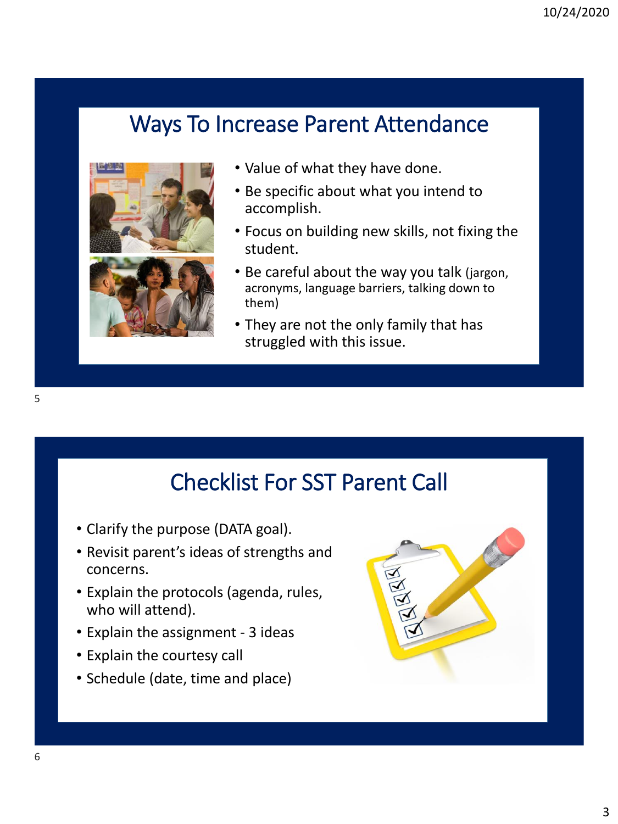## Ways To Increase Parent Attendance



- Value of what they have done.
- Be specific about what you intend to accomplish.
- Focus on building new skills, not fixing the student.
- Be careful about the way you talk (jargon, acronyms, language barriers, talking down to them)
- They are not the only family that has struggled with this issue.

# Checklist For SST Parent Call

- Clarify the purpose (DATA goal).
- Revisit parent's ideas of strengths and concerns.
- Explain the protocols (agenda, rules, who will attend).
- Explain the assignment 3 ideas
- Explain the courtesy call
- Schedule (date, time and place)



5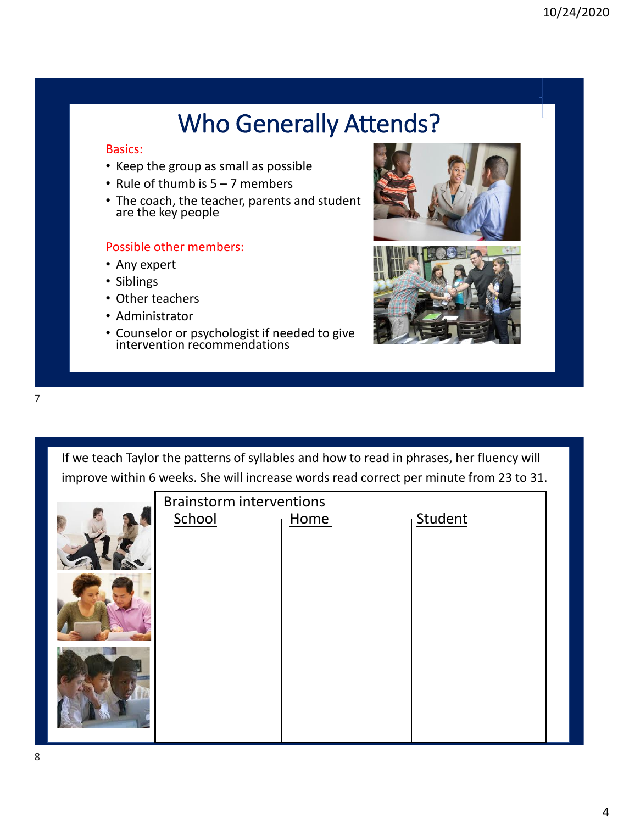# Who Generally Attends?

#### Basics:

- Keep the group as small as possible
- Rule of thumb is 5 7 members
- are the key people and in a computation of the DO2A6354D83A09425DEE4B27CA1083A094925DEE4B27CA1083A0942DEE4B27CA • The coach, the teacher, parents and student

- Any expert
- Siblings
- Other teachers
- Administrator
- Counselor or psychologist if needed to give intervention recommendations





If we teach Taylor the patterns of syllables and how to read in phrases, her fluency will improve within 6 weeks. She will increase words read correct per minute from 23 to 31.

| <b>Brainstorm interventions</b> |      |         |
|---------------------------------|------|---------|
| School                          | Home | Student |
|                                 |      |         |
|                                 |      |         |

7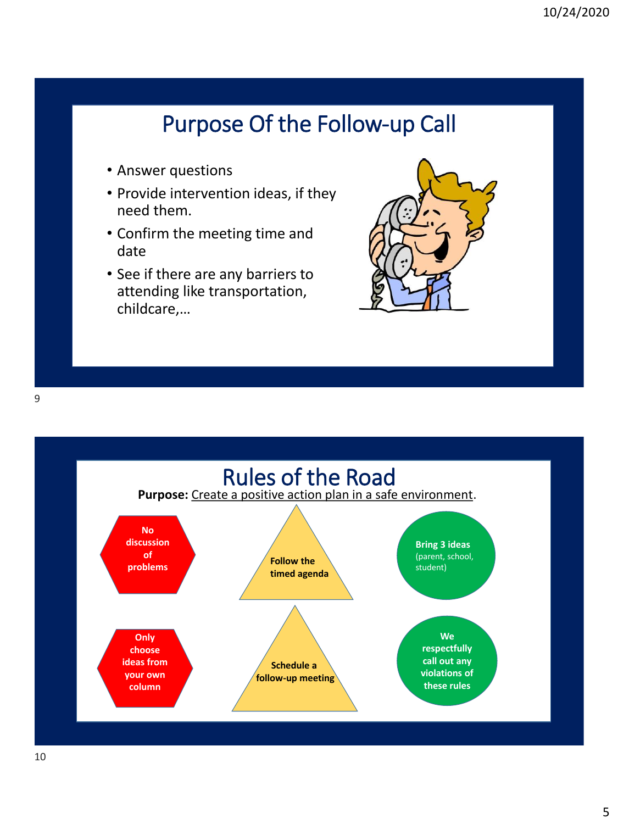# Purpose Of the Follow-up Call

- Answer questions
- Provide intervention ideas, if they need them.
- Confirm the meeting time and date
- See if there are any barriers to attending like transportation, childcare,…